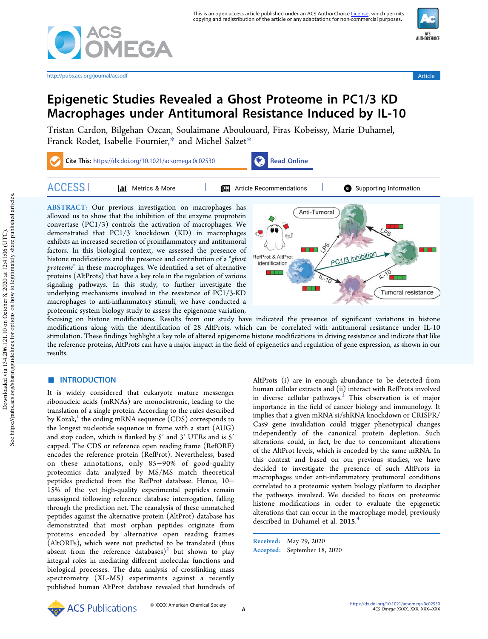

http://pubs.acs.org/journal/acsodf Article



# Epigenetic Studies Revealed a Ghost Proteome in PC1/3 KD Macrophages under Antitumoral Resistance Induced by IL-10

Tristan Cardon, Bilgehan Ozcan, Soulaimane Aboulouard, Firas Kobeissy, Marie Duhamel, Franck Rodet, Isabelle Fournier,\* and Michel Salzet\*



proteome" in these macrophages. We identified a set of alternative proteins (AltProts) that have a key role in the regulation of various signaling pathways. In this study, to further investigate the underlying mechanisms involved in the resistance of PC1/3-KD macrophages to anti-inflammatory stimuli, we have conducted a proteomic system biology study to assess the epigenome variation,



focusing on histone modifications. Results from our study have indicated the presence of significant variations in histone modifications along with the identification of 28 AltProts, which can be correlated with antitumoral resistance under IL-10 stimulation. These findings highlight a key role of altered epigenome histone modifications in driving resistance and indicate that like the reference proteins, AltProts can have a major impact in the field of epigenetics and regulation of gene expression, as shown in our results.

# ■ INTRODUCTION

It is widely considered that eukaryote mature messenger ribonucleic acids (mRNAs) are monocistronic, leading to the translation of a single protein. According to the rules described by Kozak, $^1$  the coding mRNA sequence (CDS) corresponds to the longest nucleotide sequence in frame with a start (AUG) and stop codon, which is flanked by 5′ and 3′ UTRs and is 5′ capped. The CDS or reference open reading frame (RefORF) encodes the reference protein (RefProt). Nevertheless, based on these annotations, only 85−90% of good-quality proteomics data analyzed by MS/MS match theoretical peptides predicted from the RefProt database. Hence, 10− 15% of the yet high-quality experimental peptides remain unassigned following reference database interrogation, falling through the prediction net. The reanalysis of these unmatched peptides against the alternative protein (AltProt) database has demonstrated that most orphan peptides originate from proteins encoded by alternative open reading frames (AltORFs), which were not predicted to be translated (thus absent from the reference  $\frac{1}{\text{database}}$  but shown to play integral roles in mediating different molecular functions and biological processes. The data analysis of crosslinking mass spectrometry (XL-MS) experiments against a recently published human AltProt database revealed that hundreds of AltProts (i) are in enough abundance to be detected from human cellular extracts and (ii) interact with RefProts involved in diverse cellular pathways.<sup>3</sup> This observation is of major importance in the field of cancer biology and immunology. It implies that a given mRNA si/shRNA knockdown or CRISPR/ Cas9 gene invalidation could trigger phenotypical changes independently of the canonical protein depletion. Such alterations could, in fact, be due to concomitant alterations of the AltProt levels, which is encoded by the same mRNA. In this context and based on our previous studies, we have decided to investigate the presence of such AltProts in macrophages under anti-inflammatory protumoral conditions correlated to a proteomic system biology platform to decipher the pathways involved. We decided to focus on proteomic histone modifications in order to evaluate the epigenetic alterations that can occur in the macrophage model, previously described in Duhamel et al. 2015. 4

Received: May 29, 2020 Accepted: September 18, 2020

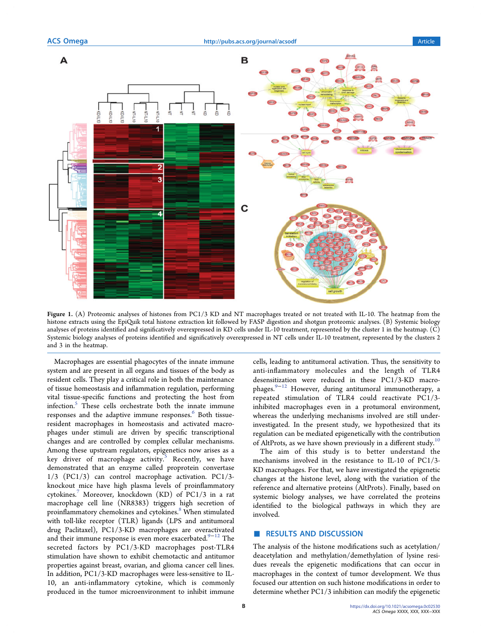

Figure 1. (A) Proteomic analyses of histones from PC1/3 KD and NT macrophages treated or not treated with IL-10. The heatmap from the histone extracts using the EpiQuik total histone extraction kit followed by FASP digestion and shotgun proteomic analyses. (B) Systemic biology analyses of proteins identified and significatively overexpressed in KD cells under IL-10 treatment, represented by the cluster 1 in the heatmap. (C) Systemic biology analyses of proteins identified and significatively overexpressed in NT cells under IL-10 treatment, represented by the clusters 2 and 3 in the heatmap.

Macrophages are essential phagocytes of the innate immune system and are present in all organs and tissues of the body as resident cells. They play a critical role in both the maintenance of tissue homeostasis and inflammation regulation, performing vital tissue-specific functions and protecting the host from infection.<sup>5</sup> These cells orchestrate both the innate immune responses and the adaptive immune responses. <sup>6</sup> Both tissueresident macrophages in homeostasis and activated macrophages under stimuli are driven by specific transcriptional changes and are controlled by complex cellular mechanisms. Among these upstream regulators, epigenetics now arises as a key driver of macrophage activity.<sup>5</sup> Recently, we have demonstrated that an enzyme called proprotein convertase 1/3 (PC1/3) can control macrophage activation. PC1/3 knockout mice have high plasma levels of proinflammatory cytokines.<sup>7</sup> Moreover, knockdown (KD) of PC1/3 in a rat macrophage cell line (NR8383) triggers high secretion of proinflammatory chemokines and cytokines.<sup>8</sup> When stimulated with toll-like receptor (TLR) ligands (LPS and antitumoral drug Paclitaxel), PC1/3-KD macrophages are overactivated and their immune response is even more exacerbated. $9-12$  The secreted factors by PC1/3-KD macrophages post-TLR4 stimulation have shown to exhibit chemotactic and antitumor properties against breast, ovarian, and glioma cancer cell lines. In addition, PC1/3-KD macrophages were less-sensitive to IL-10, an anti-inflammatory cytokine, which is commonly produced in the tumor microenvironment to inhibit immune

cells, leading to antitumoral activation. Thus, the sensitivity to anti-inflammatory molecules and the length of TLR4 desensitization were reduced in these PC1/3-KD macrophages.<sup>9−12</sup> However, during antitumoral immunotherapy, a repeated stimulation of TLR4 could reactivate PC1/3 inhibited macrophages even in a protumoral environment, whereas the underlying mechanisms involved are still underinvestigated. In the present study, we hypothesized that its regulation can be mediated epigenetically with the contribution of AltProts, as we have shown previously in a different study.<sup>10</sup>

The aim of this study is to better understand the mechanisms involved in the resistance to IL-10 of PC1/3- KD macrophages. For that, we have investigated the epigenetic changes at the histone level, along with the variation of the reference and alternative proteins (AltProts). Finally, based on systemic biology analyses, we have correlated the proteins identified to the biological pathways in which they are involved.

# ■ RESULTS AND DISCUSSION

The analysis of the histone modifications such as acetylation/ deacetylation and methylation/demethylation of lysine residues reveals the epigenetic modifications that can occur in macrophages in the context of tumor development. We thus focused our attention on such histone modifications in order to determine whether PC1/3 inhibition can modify the epigenetic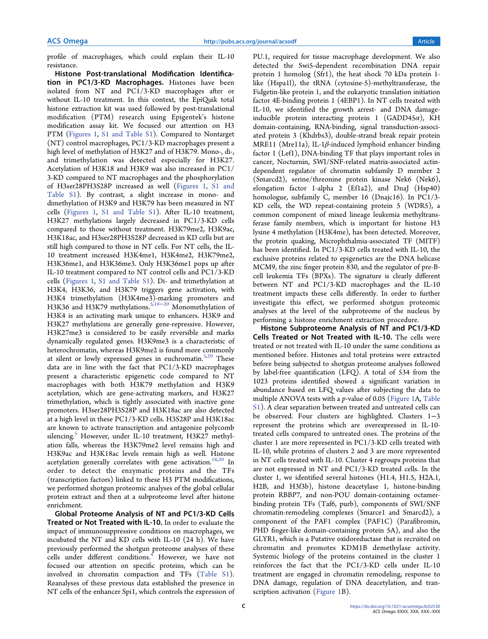profile of macrophages, which could explain their IL-10 resistance.

Histone Post-translational Modification Identification in PC1/3-KD Macrophages. Histones have been isolated from NT and PC1/3-KD macrophages after or without IL-10 treatment. In this context, the EpiQuik total histone extraction kit was used followed by post-translational modification (PTM) research using Epigentek's histone modification assay kit. We focused our attention on H3 PTM (Figures 1, S1 and Table S1). Compared to Nontarget (NT) control macrophages, PC1/3-KD macrophages present a high level of methylation of H3K27 and of H3K79. Mono-, di-, and trimethylation was detected especially for H3K27. Acetylation of H3K18 and H3K9 was also increased in PC1/ 3-KD compared to NT macrophages and the phosphorylation of H3ser28PH3S28P increased as well (Figures 1, S1 and Table S1). By contrast, a slight increase in mono- and dimethylation of H3K9 and H3K79 has been measured in NT cells (Figures 1, S1 and Table S1). After IL-10 treatment, H3K27 methylations largely decreased in PC1/3-KD cells compared to those without treatment. H3K79me2, H3K9ac, H3K18ac, and H3ser28PH3S28P decreased in KD cells but are still high compared to those in NT cells. For NT cells, the IL-10 treatment increased H3K4me1, H3K4me2, H3K79me2, H3K36me1, and H3K36me3. Only H3K36me1 pops up after IL-10 treatment compared to NT control cells and PC1/3-KD cells (Figures 1, S1 and Table S1). Di- and trimethylation at H3K4, H3K36, and H3K79 triggers gene activation, with H3K4 trimethylation (H3K4me3)-marking promoters and H3K36 and H3K79 methylations.<sup>5,18–20</sup> Monomethylation of H3K4 is an activating mark unique to enhancers. H3K9 and H3K27 methylations are generally gene-repressive. However, H3K27me3 is considered to be easily reversible and marks dynamically regulated genes. H3K9me3 is a characteristic of heterochromatin, whereas H3K9me2 is found more commonly at silent or lowly expressed genes in euchromatin. $5,20$  These data are in line with the fact that PC1/3-KD macrophages present a characteristic epigenetic code compared to NT macrophages with both H3K79 methylation and H3K9 acetylation, which are gene-activating markers, and H3K27 trimethylation, which is tightly associated with inactive gene promoters. H3ser28PH3S28P and H3K18ac are also detected at a high level in these PC1/3-KD cells. H3S28P and H3K18ac are known to activate transcription and antagonize polycomb silencing.<sup>5</sup> However, under IL-10 treatment, H3K27 methylation falls, whereas the H3K79me2 level remains high and H3K9ac and H3K18ac levels remain high as well. Histone acetylation generally correlates with gene activation.<sup>18,20</sup> In order to detect the enzymatic proteins and the TFs (transcription factors) linked to these H3 PTM modifications, we performed shotgun proteomic analyses of the global cellular protein extract and then at a subproteome level after histone enrichment.

Global Proteome Analysis of NT and PC1/3-KD Cells Treated or Not Treated with IL-10. In order to evaluate the impact of immunosuppressive conditions on macrophages, we incubated the NT and KD cells with IL-10 (24 h). We have previously performed the shotgun proteome analyses of these cells under different conditions.<sup>4</sup> However, we have not focused our attention on specific proteins, which can be involved in chromatin compaction and TFs (Table S1). Reanalyses of these previous data established the presence in NT cells of the enhancer Spi1, which controls the expression of PU.1, required for tissue macrophage development. We also detected the Swi5-dependent recombination DNA repair protein 1 homolog (Sfr1), the heat shock 70 kDa protein 1 like (Hspa1l), the tRNA (cytosine-5)-methyltransferase, the Fidgetin-like protein 1, and the eukaryotic translation initiation factor 4E-binding protein 1 (4EBP1). In NT cells treated with IL-10, we identified the growth arrest- and DNA damageinducible protein interacting protein 1 (GADD45 $\alpha$ ), KH domain-containing, RNA-binding, signal transduction-associated protein 3 (Khdrbs3), double-strand break repair protein MRE11 (Mre11a), IL-1 $\beta$ -induced lymphoid enhancer binding factor 1 (Lef1), DNA-binding TF that plays important roles in cancer, Nocturnin, SWI/SNF-related matrix-associated actindependent regulator of chromatin subfamily D member 2 (Smarcd2), serine/threonine protein kinase Nek6 (Nek6), elongation factor 1-alpha 2 (Ef1a2), and DnaJ (Hsp40) homologue, subfamily C, member 16 (Dnajc16). In PC1/3- KD cells, the WD repeat-containing protein 5 (WDR5), a common component of mixed lineage leukemia methyltransferase family members, which is important for histone H3 lysine 4 methylation (H3K4me), has been detected. Moreover, the protein quaking, Microphthalmia-associated TF (MITF) has been identified. In PC1/3-KD cells treated with IL-10, the exclusive proteins related to epigenetics are the DNA helicase MCM9, the zinc finger protein 830, and the regulator of pre-Bcell leukemia TFs (BPXs). The signature is clearly different between NT and PC1/3-KD macrophages and the IL-10 treatment impacts these cells differently. In order to further investigate this effect, we performed shotgun proteomic analyses at the level of the subproteome of the nucleus by performing a histone enrichment extraction procedure.

Histone Subproteome Analysis of NT and PC1/3-KD Cells Treated or Not Treated with IL-10. The cells were treated or not treated with IL-10 under the same conditions as mentioned before. Histones and total proteins were extracted before being subjected to shotgun proteome analyses followed by label-free quantification (LFQ). A total of 534 from the 1023 proteins identified showed a significant variation in abundance based on LFQ values after subjecting the data to multiple ANOVA tests with a p-value of 0.05 (Figure 1A, Table S1). A clear separation between treated and untreated cells can be observed. Four clusters are highlighted. Clusters 1−3 represent the proteins which are overexpressed in IL-10 treated cells compared to untreated ones. The proteins of the cluster 1 are more represented in PC1/3-KD cells treated with IL-10, while proteins of clusters 2 and 3 are more represented in NT cells treated with IL-10. Cluster 4 regroups proteins that are not expressed in NT and PC1/3-KD treated cells. In the cluster 1, we identified several histones (H1.4, H1.5, H2A.1, H2B, and H3f3b), histone deacetylase 1, histone-binding protein RBBP7, and non-POU domain-containing octamerbinding protein TFs (Taf6, purb), components of SWI/SNF chromatin-remodeling complexes (Smarce1 and Smarcd2), a component of the PAF1 complex (PAF1C) (Parafibromin, PHD finger-like domain-containing protein 5A), and also the GLYR1, which is a Putative oxidoreductase that is recruited on chromatin and promotes KDM1B demethylase activity. Systemic biology of the proteins contained in the cluster 1 reinforces the fact that the PC1/3-KD cells under IL-10 treatment are engaged in chromatin remodeling, response to DNA damage, regulation of DNA deacetylation, and transcription activation (Figure 1B).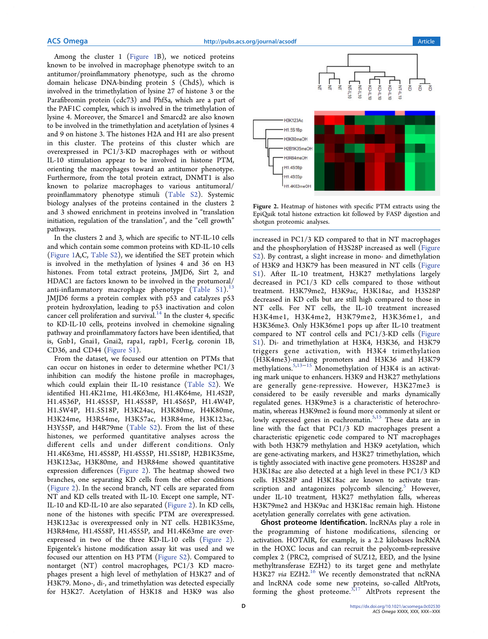Among the cluster 1 (Figure 1B), we noticed proteins known to be involved in macrophage phenotype switch to an antitumor/proinflammatory phenotype, such as the chromo domain helicase DNA-binding protein 5 (Chd5), which is involved in the trimethylation of lysine 27 of histone 3 or the Parafibromin protein (cdc73) and Phf5a, which are a part of the PAF1C complex, which is involved in the trimethylation of lysine 4. Moreover, the Smarce1 and Smarcd2 are also known to be involved in the trimethylation and acetylation of lysines 4 and 9 on histone 3. The histones H2A and H1 are also present in this cluster. The proteins of this cluster which are overexpressed in PC1/3-KD macrophages with or without IL-10 stimulation appear to be involved in histone PTM, orienting the macrophages toward an antitumor phenotype. Furthermore, from the total protein extract, DNMT1 is also known to polarize macrophages to various antitumoral/ proinflammatory phenotype stimuli (Table S2). Systemic biology analyses of the proteins contained in the clusters 2 and 3 showed enrichment in proteins involved in "translation initiation, regulation of the translation", and the "cell growth" pathways.

In the clusters 2 and 3, which are specific to NT-IL-10 cells and which contain some common proteins with KD-IL-10 cells (Figure 1A,C, Table S2), we identified the SET protein which is involved in the methylation of lysines 4 and 36 on H3 histones. From total extract proteins, JMJD6, Sirt 2, and HDAC1 are factors known to be involved in the protumoral/ anti-inflammatory macrophage phenotype  $(Table S1).$ <sup>13</sup> JMJD6 forms a protein complex with p53 and catalyzes p53 protein hydroxylation, leading to p53 inactivation and colon cancer cell proliferation and survival. $14$  In the cluster 4, specific to KD-IL-10 cells, proteins involved in chemokine signaling pathway and proinflammatory factors have been identified, that is, Gnb1, Gnai1, Gnai2, rapa1, rapb1, Fcer1g, coronin 1B, CD36, and CD44 (Figure S1).

From the dataset, we focused our attention on PTMs that can occur on histones in order to determine whether PC1/3 inhibition can modify the histone profile in macrophages, which could explain their IL-10 resistance (Table S2). We identified H1.4K21me, H1.4K63me, H1.4K64me, H1.4S2P, H1.4S36P, H1.4S55P, H1.4S58P, H1.4S65P, H1.4W4P, H1.5W4P, H1.5S18P, H3K24ac, H3K80me, H4K80me, H3K24me, H3R54me, H3K57ac, H3R84me, H3K123ac, H3Y55P, and H4R79me (Table S2). From the list of these histones, we performed quantitative analyses across the different cells and under different conditions. Only H1.4K63me, H1.4S58P, H1.4S55P, H1.5S18P, H2B1K35me, H3K123ac, H3K80me, and H3R84me showed quantitative expression differences (Figure 2). The heatmap showed two branches, one separating KD cells from the other conditions (Figure 2). In the second branch, NT cells are separated from NT and KD cells treated with IL-10. Except one sample, NT-IL-10 and KD-IL-10 are also separated (Figure 2). In KD cells, none of the histones with specific PTM are overexpressed. H3K123ac is overexpressed only in NT cells. H2B1K35me, H3R84me, H1.4S58P, H1.4S55P, and H1.4K63me are overexpressed in two of the three KD-IL-10 cells (Figure 2). Epigentek's histone modification assay kit was used and we focused our attention on H3 PTM (Figure S2). Compared to nontarget (NT) control macrophages, PC1/3 KD macrophages present a high level of methylation of H3K27 and of H3K79. Mono-, di-, and trimethylation was detected especially for H3K27. Acetylation of H3K18 and H3K9 was also



Figure 2. Heatmap of histones with specific PTM extracts using the EpiQuik total histone extraction kit followed by FASP digestion and shotgun proteomic analyses.

increased in PC1/3 KD compared to that in NT macrophages and the phosphorylation of H3S28P increased as well (Figure S2). By contrast, a slight increase in mono- and dimethylation of H3K9 and H3K79 has been measured in NT cells (Figure S1). After IL-10 treatment, H3K27 methylations largely decreased in PC1/3 KD cells compared to those without treatment. H3K79me2, H3K9ac, H3K18ac, and H3S28P decreased in KD cells but are still high compared to those in NT cells. For NT cells, the IL-10 treatment increased H3K4me1, H3K4me2, H3K79me2, H3K36me1, and H3K36me3. Only H3K36me1 pops up after IL-10 treatment compared to NT control cells and PC1/3-KD cells (Figure S1). Di- and trimethylation at H3K4, H3K36, and H3K79 triggers gene activation, with H3K4 trimethylation (H3K4me3)-marking promoters and H3K36 and H3K79 methylations.<sup>5,13–15</sup> Monomethylation of H3K4 is an activating mark unique to enhancers. H3K9 and H3K27 methylations are generally gene-repressive. However, H3K27me3 is considered to be easily reversible and marks dynamically regulated genes. H3K9me3 is a characteristic of heterochromatin, whereas H3K9me2 is found more commonly at silent or lowly expressed genes in euchromatin.<sup>5,15</sup> These data are in line with the fact that PC1/3 KD macrophages present a characteristic epigenetic code compared to NT macrophages with both H3K79 methylation and H3K9 acetylation, which are gene-activating markers, and H3K27 trimethylation, which is tightly associated with inactive gene promoters. H3S28P and H3K18ac are also detected at a high level in these PC1/3 KD cells. H3S28P and H3K18ac are known to activate transcription and antagonizes polycomb silencing. $5$  However, under IL-10 treatment, H3K27 methylation falls, whereas H3K79me2 and H3K9ac and H3K18ac remain high. Histone acetylation generally correlates with gene activation.

Ghost proteome Identification. lncRNAs play a role in the programming of histone modifications, silencing or activation. HOTAIR, for example, is a 2.2 kilobases lncRNA in the HOXC locus and can recruit the polycomb-repressive complex 2 (PRC2, comprised of SUZ12, EED, and the lysine methyltransferase EZH2) to its target gene and methylate H3K27 via EZH2.<sup>16</sup> We recently demonstrated that ncRNA and lncRNA code some new proteins, so-called AltProts, forming the ghost proteome. $3,17$  AltProts represent the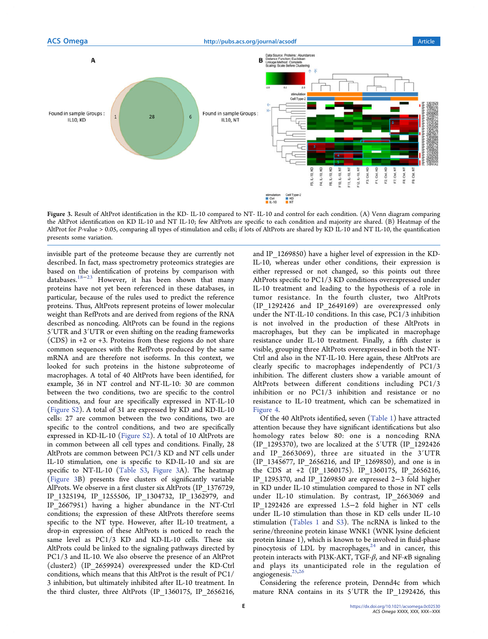

Figure 3. Result of AltProt identification in the KD- IL-10 compared to NT- IL-10 and control for each condition. (A) Venn diagram comparing the AltProt identification on KD IL-10 and NT IL-10; few AltProts are specific to each condition and majority are shared. (B) Heatmap of the AltProt for P-value > 0.05, comparing all types of stimulation and cells; if lots of AltProts are shared by KD IL-10 and NT IL-10, the quantification presents some variation.

invisible part of the proteome because they are currently not described. In fact, mass spectrometry proteomics strategies are based on the identification of proteins by comparison with databases.<sup>18−23</sup> However, it has been shown that many proteins have not yet been referenced in these databases, in particular, because of the rules used to predict the reference proteins. Thus, AltProts represent proteins of lower molecular weight than RefProts and are derived from regions of the RNA described as noncoding. AltProts can be found in the regions 5′UTR and 3′UTR or even shifting on the reading frameworks (CDS) in +2 or +3. Proteins from these regions do not share common sequences with the RefProts produced by the same mRNA and are therefore not isoforms. In this context, we looked for such proteins in the histone subproteome of macrophages. A total of 40 AltProts have been identified, for example, 36 in NT control and NT-IL-10: 30 are common between the two conditions, two are specific to the control conditions, and four are specifically expressed in NT-IL-10 (Figure S2). A total of 31 are expressed by KD and KD-IL-10 cells: 27 are common between the two conditions, two are specific to the control conditions, and two are specifically expressed in KD-IL-10 (Figure S2). A total of 10 AltProts are in common between all cell types and conditions. Finally, 28 AltProts are common between PC1/3 KD and NT cells under IL-10 stimulation, one is specific to KD-IL-10 and six are specific to NT-IL-10 (Table S3, Figure 3A). The heatmap (Figure 3B) presents five clusters of significantly variable AlProts. We observe in a first cluster six AltProts (IP\_1376729, IP\_1325194, IP\_1255506, IP\_1304732, IP\_1362979, and IP\_2667951) having a higher abundance in the NT-Ctrl conditions; the expression of these AltProts therefore seems specific to the NT type. However, after IL-10 treatment, a drop-in expression of these AltProts is noticed to reach the same level as PC1/3 KD and KD-IL-10 cells. These six AltProts could be linked to the signaling pathways directed by PC1/3 and IL-10. We also observe the presence of an AltProt (cluster2) (IP\_2659924) overexpressed under the KD-Ctrl conditions, which means that this AltProt is the result of PC1/ 3 inhibition, but ultimately inhibited after IL-10 treatment. In the third cluster, three AltProts (IP\_1360175, IP\_2656216,

and IP\_1269850) have a higher level of expression in the KD-IL-10, whereas under other conditions, their expression is either repressed or not changed, so this points out three AltProts specific to PC1/3 KD conditions overexpressed under IL-10 treatment and leading to the hypothesis of a role in tumor resistance. In the fourth cluster, two AltProts (IP\_1292426 and IP\_2649169) are overexpressed only under the NT-IL-10 conditions. In this case, PC1/3 inhibition is not involved in the production of these AltProts in macrophages, but they can be implicated in macrophage resistance under IL-10 treatment. Finally, a fifth cluster is visible, grouping three AltProts overexpressed in both the NT-Ctrl and also in the NT-IL-10. Here again, these AltProts are clearly specific to macrophages independently of PC1/3 inhibition. The different clusters show a variable amount of AltProts between different conditions including PC1/3 inhibition or no PC1/3 inhibition and resistance or no resistance to IL-10 treatment, which can be schematized in Figure 4.

Of the 40 AltProts identified, seven (Table 1) have attracted attention because they have significant identifications but also homology rates below 80: one is a noncoding RNA (IP\_1295370), two are localized at the 5′UTR (IP\_1292426 and IP 2663069), three are situated in the 3'UTR (IP\_1345677, IP\_2656216, and IP\_1269850), and one is in the CDS at +2 (IP\_1360175). IP\_1360175, IP\_2656216, IP\_1295370, and IP\_1269850 are expressed 2−3 fold higher in KD under IL-10 stimulation compared to those in NT cells under IL-10 stimulation. By contrast, IP\_2663069 and IP\_1292426 are expressed 1.5−2 fold higher in NT cells under IL-10 stimulation than those in KD cells under IL-10 stimulation (Tables 1 and S3). The ncRNA is linked to the serine/threonine protein kinase WNK1 (WNK lysine deficient protein kinase 1), which is known to be involved in fluid-phase pinocytosis of LDL by macrophages, $24$  and in cancer, this protein interacts with PI3K-AKT, TGF- $\beta$ , and NF- $\kappa$ B signaling and plays its unanticipated role in the regulation of angiogenesis.  $\boldsymbol{^{25,26}}$ 

Considering the reference protein, Dennd4c from which mature RNA contains in its 5′UTR the IP\_1292426, this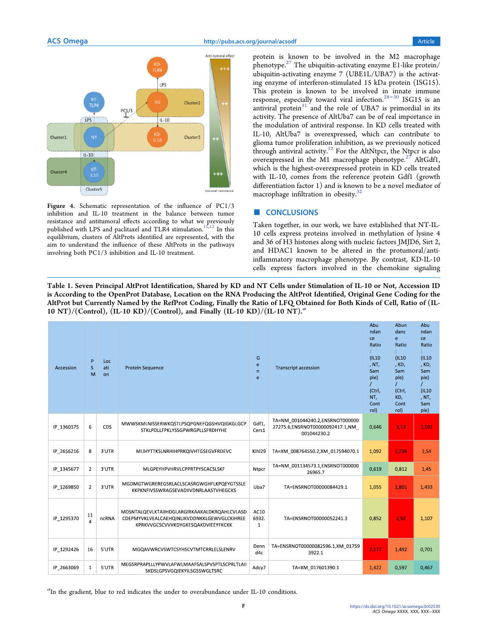

Figure 4. Schematic representation of the influence of PC1/3 inhibition and IL-10 treatment in the balance between tumor resistance and antitumoral effects according to what we previously published with LPS and paclitaxel and TLR4 stimulation.<sup>11,12</sup> In this equilibrium, clusters of AltProts identified are represented, with the aim to understand the influence of these AltProts in the pathways involving both PC1/3 inhibition and IL-10 treatment.

protein is known to be involved in the M2 macrophage phenotype. $27$  The ubiquitin-activating enzyme E1-like protein/ ubiquitin-activating enzyme 7 (UBE1L/UBA7) is the activating enzyme of interferon-stimulated 15 kDa protein (ISG15). This protein is known to be involved in innate immune response, especially toward viral infection.28−<sup>30</sup> ISG15 is an antiviral protein $31$  and the role of UBA7 is primordial in its activity. The presence of AltUba7 can be of real importance in the modulation of antiviral response. In KD cells treated with IL-10, AltUba7 is overexpressed, which can contribute to glioma tumor proliferation inhibition, as we previously noticed through antiviral activity.<sup>12</sup> For the AltNtpcr, the Ntpcr is also overexpressed in the M1 macrophage phenotype.<sup>27</sup> AltGdf1, which is the highest-overexpressed protein in KD cells treated with IL-10, comes from the reference protein Gdf1 (growth differentiation factor 1) and is known to be a novel mediator of macrophage infiltration in obesity.<sup>32</sup>

# ■ CONCLUSIONS

Taken together, in our work, we have established that NT-IL-10 cells express proteins involved in methylation of lysine 4 and 36 of H3 histones along with nucleic factors JMJD6, Sirt 2, and HDAC1 known to be altered in the protumoral/antiinflammatory macrophage phenotype. By contrast, KD-IL-10 cells express factors involved in the chemokine signaling

Table 1. Seven Principal AltProt Identification, Shared by KD and NT Cells under Stimulation of IL-10 or Not, Accession ID is According to the OpenProt Database, Location on the RNA Producing the AltProt Identified, Original Gene Coding for the AltProt but Currently Named by the RefProt Coding, Finally the Ratio of LFQ Obtained for Both Kinds of Cell, Ratio of (IL-10 NT)/(Control),  $(\text{IL-10 KD})/(\text{Control})$ , and Finally  $(\text{IL-10 KD})/(\text{IL-10 NT})$ .

| Accession  | P<br>S<br>M          | Loc<br>ati<br>on | <b>Protein Sequence</b>                                                                                                           | G<br>e<br>$\mathsf{n}$<br>e   | <b>Transcript accession</b>                                                         | Abu<br>ndan<br>ce<br>Ratio<br>(IL10<br>, NT,<br>Sam<br>ple)<br>(Ctrl,<br>NT,<br>Cont<br>rol) | Abun<br>danc<br>e<br>Ratio<br>(IL10)<br>, KD,<br>Sam<br>ple)<br>(Ctrl,<br>KD,<br>Cont<br>rol) | Abu<br>ndan<br>ce<br>Ratio<br>(IL10<br>, KD,<br>Sam<br>ple)<br>(IL10<br>, NT,<br>Sam<br>ple) |
|------------|----------------------|------------------|-----------------------------------------------------------------------------------------------------------------------------------|-------------------------------|-------------------------------------------------------------------------------------|----------------------------------------------------------------------------------------------|-----------------------------------------------------------------------------------------------|----------------------------------------------------------------------------------------------|
| IP 1360175 | 6                    | CDS              | MWWSKMLNISSERWKQSTLPSQPGNEFQGSHVQIGKGLGCP<br>STKLPDLLFPKLYSSGPWRGPLLSFRDHYHE                                                      | Gdf1,<br>Cers1                | TA=NM 001044240.2,ENSRNOT000000<br>27275.6, ENSRNOT00000092417.1, NM<br>001044230.2 | 0,646                                                                                        | 3,13                                                                                          | 3,192                                                                                        |
| IP 2656216 | 8                    | 3'UTR            | MLIHYTTKSLNRHIHPRKQIVHTGSEGVFRDEVC                                                                                                | Klhl29                        | TA=XM 008764550.2,XM 017594070.1                                                    | 1,092                                                                                        | 2,226                                                                                         | 1,54                                                                                         |
| IP 1345677 | $\overline{2}$       | 3'UTR            | MLGPEYHPVHRVLCPPRTPYSCACSLSKF                                                                                                     | Ntpcr                         | TA=NM 001134573.1,ENSRNOT000000<br>26965.7                                          | 0,619                                                                                        | 0,812                                                                                         | 1,45                                                                                         |
| IP 1269850 | $\overline{2}$       | 3'UTR            | MGDMGTWGREREGSRLACLSCASRGWGHFLKPQEYGTSSLE<br>KKPKNFIVSSWRAGSEVADIIVDNRLAASTVHEGCKS                                                | Uba7                          | TA=ENSRNOT00000084429.1                                                             | 1,055                                                                                        | 1.801                                                                                         | 1,433                                                                                        |
| IP 1295370 | 11<br>$\overline{a}$ | ncRNA            | MDSNTALQEVLKTAIIHDGLARGIRKAAKALDKRQAHLCVLASD<br>CDEPMYVKLVEALCAEHQINLIKVDDNKKLGEWVGLCKIHREE<br>KPRKVVGCSCVVVKDYGKESQAKDVIEEYFKCKK | AC10<br>6932.<br>$\mathbf{1}$ | TA=ENSRNOT00000052241.3                                                             | 0,852                                                                                        | 2,92                                                                                          | 1,107                                                                                        |
| IP 1292426 | 16                   | 5'UTR            | MGQAVWRCVSWTCSYHSCVTMTCRRLELSLENRV                                                                                                | Denn<br>d4c                   | TA=ENSRNOT00000082596.1,XM 01759<br>3922.1                                          | 2,177                                                                                        | 1.492                                                                                         | 0,701                                                                                        |
| IP 2663069 | $\mathbf{1}$         | 5'UTR            | MEGSRPRAPLLLYPWVLAFWLMAAFSALSPVSPTLSCPRLTLAII<br>SKDSLGPSVGQIEKYILSGSSWGLTSRC                                                     | Adcy7                         | TA=XM 017601390.1                                                                   | 1,422                                                                                        | 0,597                                                                                         | 0,467                                                                                        |

<sup>a</sup>In the gradient, blue to red indicates the under to overabundance under IL-10 conditions.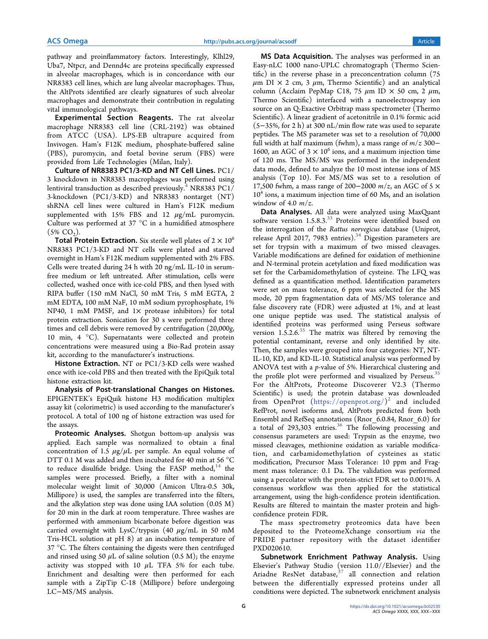pathway and proinflammatory factors. Interestingly, Klhl29, Uba7, Ntpcr, and Dennd4c are proteins specifically expressed in alveolar macrophages, which is in concordance with our NR8383 cell lines, which are lung alveolar macrophages. Thus, the AltProts identified are clearly signatures of such alveolar macrophages and demonstrate their contribution in regulating vital immunological pathways.

Experimental Section Reagents. The rat alveolar macrophage NR8383 cell line (CRL-2192) was obtained from ATCC (USA). LPS-EB ultrapure acquired from Invivogen. Ham's F12K medium, phosphate-buffered saline (PBS), puromycin, and foetal bovine serum (FBS) were provided from Life Technologies (Milan, Italy).

Culture of NR8383 PC1/3-KD and NT Cell Lines. PC1/ 3 knockdown in NR8383 macrophages was performed using lentiviral transduction as described previously.<sup>4</sup> NR8383 PC1/ 3-knockdown (PC1/3-KD) and NR8383 nontarget (NT) shRNA cell lines were cultured in Ham's F12K medium supplemented with 15% FBS and 12  $\mu$ g/mL puromycin. Culture was performed at 37 °C in a humidified atmosphere  $(5\%$  CO<sub>2</sub>).

**Total Protein Extraction.** Six sterile well plates of  $2 \times 10^6$ NR8383 PC1/3-KD and NT cells were plated and starved overnight in Ham's F12K medium supplemented with 2% FBS. Cells were treated during 24 h with 20 ng/mL IL-10 in serumfree medium or left untreated. After stimulation, cells were collected, washed once with ice-cold PBS, and then lysed with RIPA buffer (150 mM NaCl, 50 mM Tris, 5 mM EGTA, 2 mM EDTA, 100 mM NaF, 10 mM sodium pyrophosphate, 1% NP40, 1 mM PMSF, and 1× protease inhibitors) for total protein extraction. Sonication for 30 s were performed three times and cell debris were removed by centrifugation (20,000g, 10 min, 4 °C). Supernatants were collected and protein concentrations were measured using a Bio-Rad protein assay kit, according to the manufacturer's instructions.

Histone Extraction. NT or PC1/3-KD cells were washed once with ice-cold PBS and then treated with the EpiQuik total histone extraction kit.

Analysis of Post-translational Changes on Histones. EPIGENTEK's EpiQuik histone H3 modification multiplex assay kit (colorimetric) is used according to the manufacturer's protocol. A total of 100 ng of histone extraction was used for the assays.

Proteomic Analyses. Shotgun bottom-up analysis was applied. Each sample was normalized to obtain a final concentration of 1.5  $\mu$ g/ $\mu$ L per sample. An equal volume of DTT 0.1 M was added and then incubated for 40 min at 56 °C to reduce disulfide bridge. Using the FASP method, $14$  the samples were processed. Briefly, a filter with a nominal molecular weight limit of 30,000 (Amicon Ultra-0.5 30k, Millipore) is used, the samples are transferred into the filters, and the alkylation step was done using IAA solution (0.05 M) for 20 min in the dark at room temperature. Three washes are performed with ammonium bicarbonate before digestion was carried overnight with LysC/trypsin (40  $\mu$ g/mL in 50 mM Tris-HCL solution at pH 8) at an incubation temperature of 37 °C. The filters containing the digests were then centrifuged and rinsed using 50  $\mu$ L of saline solution (0.5 M); the enzyme activity was stopped with 10  $\mu$ L TFA 5% for each tube. Enrichment and desalting were then performed for each sample with a ZipTip C-18 (Millipore) before undergoing LC−MS/MS analysis.

MS Data Acquisition. The analyses was performed in an Easy-nLC 1000 nano-UPLC chromatograph (Thermo Scientific) in the reverse phase in a preconcentration column (75  $\mu$ m DI  $\times$  2 cm, 3  $\mu$ m, Thermo Scientific) and an analytical column (Acclaim PepMap C18, 75  $\mu$ m ID  $\times$  50 cm, 2  $\mu$ m, Thermo Scientific) interfaced with a nanoelectrospray ion source on an Q-Exactive Orbitrap mass spectrometer (Thermo Scientific). A linear gradient of acetonitrile in 0.1% formic acid (5−35%, for 2 h) at 300 nL/min flow rate was used to separate peptides. The MS parameter was set to a resolution of 70,000 full width at half maximum (fwhm), a mass range of  $m/z$  300− 1600, an AGC of  $3 \times 10^6$  ions, and a maximum injection time of 120 ms. The MS/MS was performed in the independent data mode, defined to analyze the 10 most intense ions of MS analysis (Top 10). For MS/MS was set to a resolution of 17,500 fwhm, a mass range of 200–2000  $m/z$ , an AGC of 5  $\times$ 10<sup>4</sup> ions, a maximum injection time of 60 Ms, and an isolation window of 4.0  $m/z$ .

Data Analyses. All data were analyzed using MaxQuant software version  $1.5.8.3^{33}$  Proteins were identified based on the interrogation of the Rattus norvegicus database (Uniprot, release April 2017, 7983 entries).<sup>34</sup> Digestion parameters are set for trypsin with a maximum of two missed cleavages. Variable modifications are defined for oxidation of methionine and N-terminal protein acetylation and fixed modification was set for the Carbamidomethylation of cysteine. The LFQ was defined as a quantification method. Identification parameters were set on mass tolerance, 6 ppm was selected for the MS mode, 20 ppm fragmentation data of MS/MS tolerance and false discovery rate (FDR) were adjusted at 1%, and at least one unique peptide was used. The statistical analysis of identified proteins was performed using Perseus software version  $1.5.2.6^{35}$  The matrix was filtered by removing the potential contaminant, reverse and only identified by site. Then, the samples were grouped into four categories: NT, NT-IL-10, KD, and KD-IL-10. Statistical analysis was performed by ANOVA test with a p-value of 5%. Hierarchical clustering and the profile plot were performed and visualized by Perseus.<sup>35</sup> For the AltProts, Proteome Discoverer V2.3 (Thermo Scientific) is used; the protein database was downloaded from OpenProt (https://openprot.org/) 2 and included RefProt, novel isoforms and, AltProts predicted from both Ensembl and RefSeq annotations (Rnor\_6.0.84, Rnor\_6.0) for a total of  $293,303$  entries.<sup>36</sup> The following processing and consensus parameters are used: Trypsin as the enzyme, two missed cleavages, methionine oxidation as variable modification, and carbamidomethylation of cysteines as static modification, Precursor Mass Tolerance: 10 ppm and Fragment mass tolerance: 0.1 Da. The validation was performed using a percolator with the protein-strict FDR set to 0.001%. A consensus workflow was then applied for the statistical arrangement, using the high-confidence protein identification. Results are filtered to maintain the master protein and highconfidence protein FDR.

The mass spectrometry proteomics data have been deposited to the ProteomeXchange consortium via the PRIDE partner repository with the dataset identifier PXD020610.

Subnetwork Enrichment Pathway Analysis. Using Elsevier's Pathway Studio (version 11.0//Elsevier) and the Ariadne ResNet database, $37$  all connection and relation between the differentially expressed proteins under all conditions were depicted. The subnetwork enrichment analysis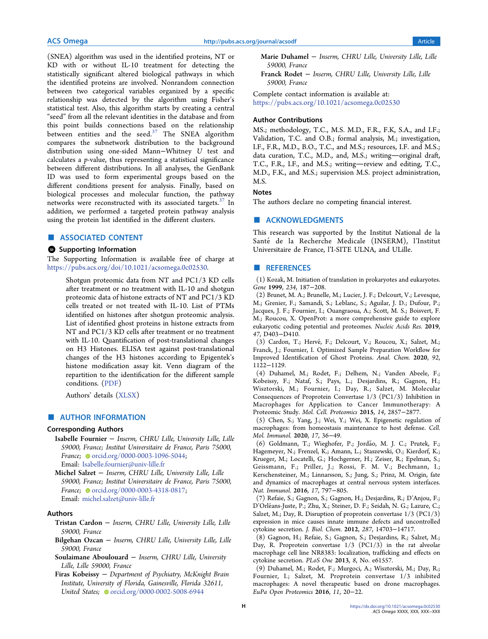(SNEA) algorithm was used in the identified proteins, NT or KD with or without IL-10 treatment for detecting the statistically significant altered biological pathways in which the identified proteins are involved. Nonrandom connection between two categorical variables organized by a specific relationship was detected by the algorithm using Fisher's statistical test. Also, this algorithm starts by creating a central "seed" from all the relevant identities in the database and from this point builds connections based on the relationship between entities and the seed.<sup>37</sup> The SNEA algorithm compares the subnetwork distribution to the background distribution using one-sided Mann−Whitney U test and calculates a p-value, thus representing a statistical significance between different distributions. In all analyses, the GenBank ID was used to form experimental groups based on the different conditions present for analysis. Finally, based on biological processes and molecular function, the pathway networks were reconstructed with its associated targets. $37$  In addition, we performed a targeted protein pathway analysis using the protein list identified in the different clusters.

#### ■ ASSOCIATED CONTENT

### **9** Supporting Information

The Supporting Information is available free of charge at https://pubs.acs.org/doi/10.1021/acsomega.0c02530.

Shotgun proteomic data from NT and PC1/3 KD cells after treatment or no treatment with IL-10 and shotgun proteomic data of histone extracts of NT and PC1/3 KD cells treated or not treated with IL-10. List of PTMs identified on histones after shotgun proteomic analysis. List of identified ghost proteins in histone extracts from NT and PC1/3 KD cells after treatment or no treatment with IL-10. Quantification of post-translational changes on H3 Histones. ELISA test against post-translational changes of the H3 histones according to Epigentek's histone modification assay kit. Venn diagram of the repartition to the identification for the different sample conditions. (PDF)

Authors' details (XLSX)

# ■ AUTHOR INFORMATION

# Corresponding Authors

Isabelle Fournier − Inserm, CHRU Lille, University Lille, Lille 59000, France; Institut Universitaire de France, Paris 75000, France; orcid.org/0000-0003-1096-5044; Email: Isabelle.fournier@univ-lille.fr

Michel Salzet − Inserm, CHRU Lille, University Lille, Lille 59000, France; Institut Universitaire de France, Paris 75000, France; Orcid.org/0000-0003-4318-0817; Email: michel.salzet@univ-lille.fr

### Authors

- Tristan Cardon − Inserm, CHRU Lille, University Lille, Lille 59000, France
- Bilgehan Ozcan − Inserm, CHRU Lille, University Lille, Lille 59000, France
- Soulaimane Aboulouard − Inserm, CHRU Lille, University Lille, Lille 59000, France
- Firas Kobeissy − Department of Psychiatry, McKnight Brain Institute, University of Florida, Gainesville, Florida 32611, United States; corcid.org/0000-0002-5008-6944
- Marie Duhamel − Inserm, CHRU Lille, University Lille, Lille 59000, France
- Franck Rodet − Inserm, CHRU Lille, University Lille, Lille 59000, France

Complete contact information is available at: https://pubs.acs.org/10.1021/acsomega.0c02530

# Author Contributions

MS.; methodology, T.C., M.S. M.D., F.R., F.K, S.A., and I.F.; Validation, T.C. and O.B.; formal analysis, M.; investigation, I.F., F.R., M.D., B.O., T.C., and M.S.; resources, I.F. and M.S.; data curation, T.C., M.D., and, M.S.; writing-original draft, T.C., F.R., I.F., and M.S.; writing-review and editing, T.C., M.D., F.K., and M.S.; supervision M.S. project administration, M.S.

# **Notes**

The authors declare no competing financial interest.

# ■ ACKNOWLEDGMENTS

This research was supported by the Institut National de la Santé de la Recherche Medicale (INSERM), l'Institut Universitaire de France, l'I-SITE ULNA, and ULille.

## ■ REFERENCES

(1) Kozak, M. Initiation of translation in prokaryotes and eukaryotes. Gene 1999, 234, 187−208.

(2) Brunet, M. A.; Brunelle, M.; Lucier, J. F.; Delcourt, V.; Levesque, M.; Grenier, F.; Samandi, S.; Leblanc, S.; Aguilar, J. D.; Dufour, P.; Jacques, J. F.; Fournier, I.; Ouangraoua, A.; Scott, M. S.; Boisvert, F. M.; Roucou, X. OpenProt: a more comprehensive guide to explore eukaryotic coding potential and proteomes. Nucleic Acids Res. 2019, 47, D403−D410.

(3) Cardon, T.; Hervé, F.; Delcourt, V.; Roucou, X.; Salzet, M.; Franck, J.; Fournier, I. Optimized Sample Preparation Workflow for Improved Identification of Ghost Proteins. Anal. Chem. 2020, 92, 1122−1129.

(4) Duhamel, M.; Rodet, F.; Delhem, N.; Vanden Abeele, F.; Kobeissy, F.; Nataf, S.; Pays, L.; Desjardins, R.; Gagnon, H.; Wisztorski, M.; Fournier, I.; Day, R.; Salzet, M. Molecular Consequences of Proprotein Convertase 1/3 (PC1/3) Inhibition in Macrophages for Application to Cancer Immunotherapy: A Proteomic Study. Mol. Cell. Proteomics 2015, 14, 2857−2877.

(5) Chen, S.; Yang, J.; Wei, Y.; Wei, X. Epigenetic regulation of macrophages: from homeostasis maintenance to host defense. Cell. Mol. Immunol. 2020, 17, 36−49.

(6) Goldmann, T.; Wieghofer, P.; Jordao, M. J. C.; Prutek, F.; ̃ Hagemeyer, N.; Frenzel, K.; Amann, L.; Staszewski, O.; Kierdorf, K.; Krueger, M.; Locatelli, G.; Hochgerner, H.; Zeiser, R.; Epelman, S.; Geissmann, F.; Priller, J.; Rossi, F. M. V.; Bechmann, I.; Kerschensteiner, M.; Linnarsson, S.; Jung, S.; Prinz, M. Origin, fate and dynamics of macrophages at central nervous system interfaces. Nat. Immunol. 2016, 17, 797−805.

(7) Refaie, S.; Gagnon, S.; Gagnon, H.; Desjardins, R.; D'Anjou, F.; D'Orleans-Juste, P.; Zhu, X.; Steiner, D. F.; Seidah, N. G.; Lazure, C.; ́ Salzet, M.; Day, R. Disruption of proprotein convertase 1/3 (PC1/3) expression in mice causes innate immune defects and uncontrolled cytokine secretion. J. Biol. Chem. 2012, 287, 14703−14717.

(8) Gagnon, H.; Refaie, S.; Gagnon, S.; Desjardins, R.; Salzet, M.; Day, R. Proprotein convertase 1/3 (PC1/3) in the rat alveolar macrophage cell line NR8383: localization, trafficking and effects on cytokine secretion. PLoS One 2013, 8, No. e61557.

(9) Duhamel, M.; Rodet, F.; Murgoci, A.; Wisztorski, M.; Day, R.; Fournier, I.; Salzet, M. Proprotein convertase 1/3 inhibited macrophages: A novel therapeutic based on drone macrophages. EuPa Open Proteomics 2016, 11, 20−22.